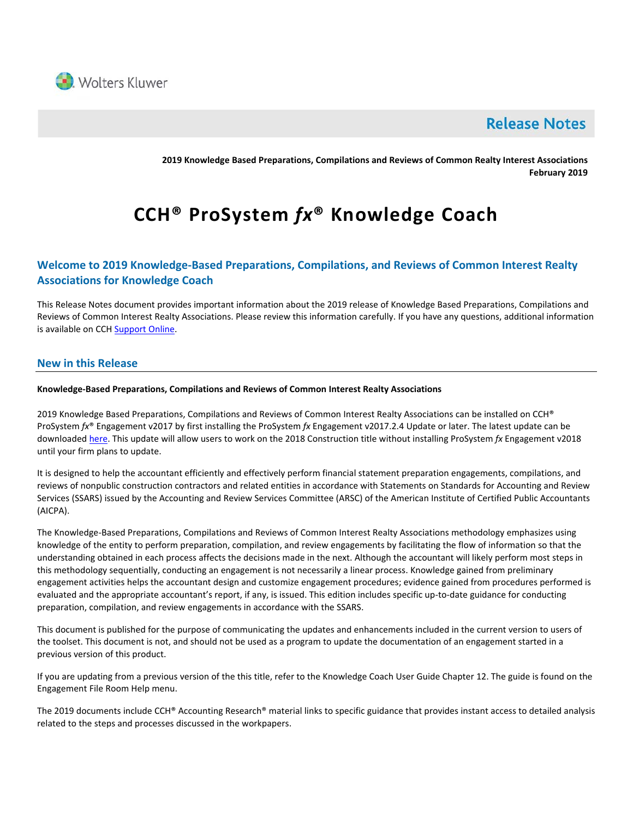

## **Release Notes**

**2019 Knowledge Based Preparations, Compilations and Reviews of Common Realty Interest Associations February 2019** 

# **CCH® ProSystem** *fx***® Knowledge Coach**

## **Welcome to 2019 Knowledge-Based Preparations, Compilations, and Reviews of Common Interest Realty Associations for Knowledge Coach**

This Release Notes document provides important information about the 2019 release of Knowledge Based Preparations, Compilations and Reviews of Common Interest Realty Associations. Please review this information carefully. If you have any questions, additional information is available on CC[H Support Online.](http://support.cch.com/productsupport/)

## **New in this Release**

#### **Knowledge-Based Preparations, Compilations and Reviews of Common Interest Realty Associations**

2019 Knowledge Based Preparations, Compilations and Reviews of Common Interest Realty Associations can be installed on CCH® ProSystem *fx*® Engagement v2017 by first installing the ProSystem *fx* Engagement v2017.2.4 Update or later. The latest update can be downloade[d here.](https://support.cch.com/updates/Engagement/release2017/release2017.aspx) This update will allow users to work on the 2018 Construction title without installing ProSystem *fx* Engagement v2018 until your firm plans to update.

It is designed to help the accountant efficiently and effectively perform financial statement preparation engagements, compilations, and reviews of nonpublic construction contractors and related entities in accordance with Statements on Standards for Accounting and Review Services (SSARS) issued by the Accounting and Review Services Committee (ARSC) of the American Institute of Certified Public Accountants (AICPA).

The Knowledge-Based Preparations, Compilations and Reviews of Common Interest Realty Associations methodology emphasizes using knowledge of the entity to perform preparation, compilation, and review engagements by facilitating the flow of information so that the understanding obtained in each process affects the decisions made in the next. Although the accountant will likely perform most steps in this methodology sequentially, conducting an engagement is not necessarily a linear process. Knowledge gained from preliminary engagement activities helps the accountant design and customize engagement procedures; evidence gained from procedures performed is evaluated and the appropriate accountant's report, if any, is issued. This edition includes specific up-to-date guidance for conducting preparation, compilation, and review engagements in accordance with the SSARS.

This document is published for the purpose of communicating the updates and enhancements included in the current version to users of the toolset. This document is not, and should not be used as a program to update the documentation of an engagement started in a previous version of this product.

If you are updating from a previous version of the this title, refer to the Knowledge Coach User Guide Chapter 12. The guide is found on the Engagement File Room Help menu.

The 2019 documents include CCH® Accounting Research® material links to specific guidance that provides instant access to detailed analysis related to the steps and processes discussed in the workpapers.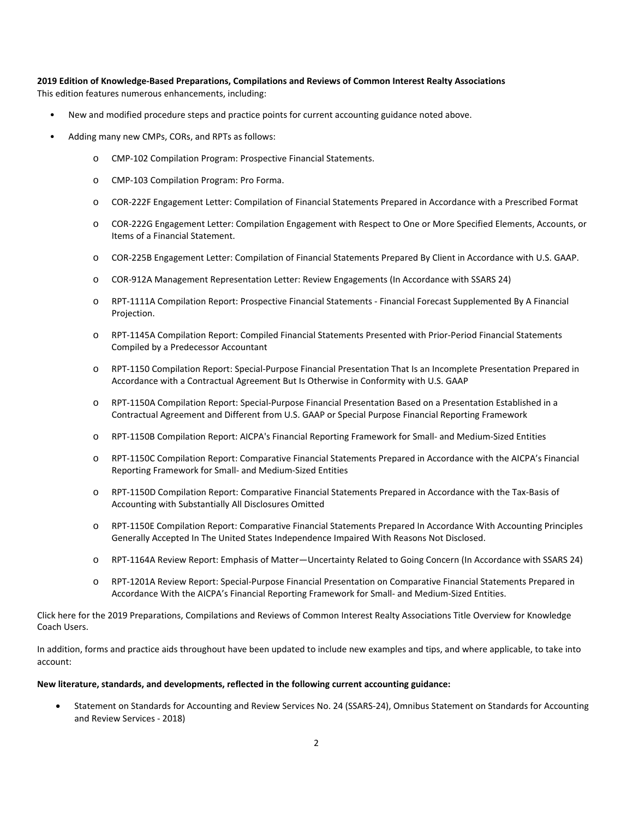## **2019 Edition of Knowledge-Based Preparations, Compilations and Reviews of Common Interest Realty Associations**

This edition features numerous enhancements, including:

- New and modified procedure steps and practice points for current accounting guidance noted above.
- Adding many new CMPs, CORs, and RPTs as follows:
	- o CMP-102 Compilation Program: Prospective Financial Statements.
	- o CMP-103 Compilation Program: Pro Forma.
	- o COR-222F Engagement Letter: Compilation of Financial Statements Prepared in Accordance with a Prescribed Format
	- o COR-222G Engagement Letter: Compilation Engagement with Respect to One or More Specified Elements, Accounts, or Items of a Financial Statement.
	- o COR-225B Engagement Letter: Compilation of Financial Statements Prepared By Client in Accordance with U.S. GAAP.
	- o COR-912A Management Representation Letter: Review Engagements (In Accordance with SSARS 24)
	- o RPT-1111A Compilation Report: Prospective Financial Statements Financial Forecast Supplemented By A Financial Projection.
	- o RPT-1145A Compilation Report: Compiled Financial Statements Presented with Prior-Period Financial Statements Compiled by a Predecessor Accountant
	- o RPT-1150 Compilation Report: Special-Purpose Financial Presentation That Is an Incomplete Presentation Prepared in Accordance with a Contractual Agreement But Is Otherwise in Conformity with U.S. GAAP
	- o RPT-1150A Compilation Report: Special-Purpose Financial Presentation Based on a Presentation Established in a Contractual Agreement and Different from U.S. GAAP or Special Purpose Financial Reporting Framework
	- o RPT-1150B Compilation Report: AICPA's Financial Reporting Framework for Small- and Medium-Sized Entities
	- o RPT-1150C Compilation Report: Comparative Financial Statements Prepared in Accordance with the AICPA's Financial Reporting Framework for Small- and Medium-Sized Entities
	- o RPT-1150D Compilation Report: Comparative Financial Statements Prepared in Accordance with the Tax-Basis of Accounting with Substantially All Disclosures Omitted
	- o RPT-1150E Compilation Report: Comparative Financial Statements Prepared In Accordance With Accounting Principles Generally Accepted In The United States Independence Impaired With Reasons Not Disclosed.
	- o RPT-1164A Review Report: Emphasis of Matter—Uncertainty Related to Going Concern (In Accordance with SSARS 24)
	- o RPT-1201A Review Report: Special-Purpose Financial Presentation on Comparative Financial Statements Prepared in Accordance With the AICPA's Financial Reporting Framework for Small- and Medium-Sized Entities.

[Click here](http://support.cch.com/updates/KnowledgeCoach/pdf/guides_tab/2019%20CIRA%20PCR%20Title%20Overview%20for%20Knowledge%20Coach%20Users.pdf) for the 2019 Preparations, Compilations and Reviews of Common Interest Realty Associations Title Overview for Knowledge Coach Users.

In addition, forms and practice aids throughout have been updated to include new examples and tips, and where applicable, to take into account:

#### **New literature, standards, and developments, reflected in the following current accounting guidance:**

• Statement on Standards for Accounting and Review Services No. 24 (SSARS-24), Omnibus Statement on Standards for Accounting and Review Services - 2018)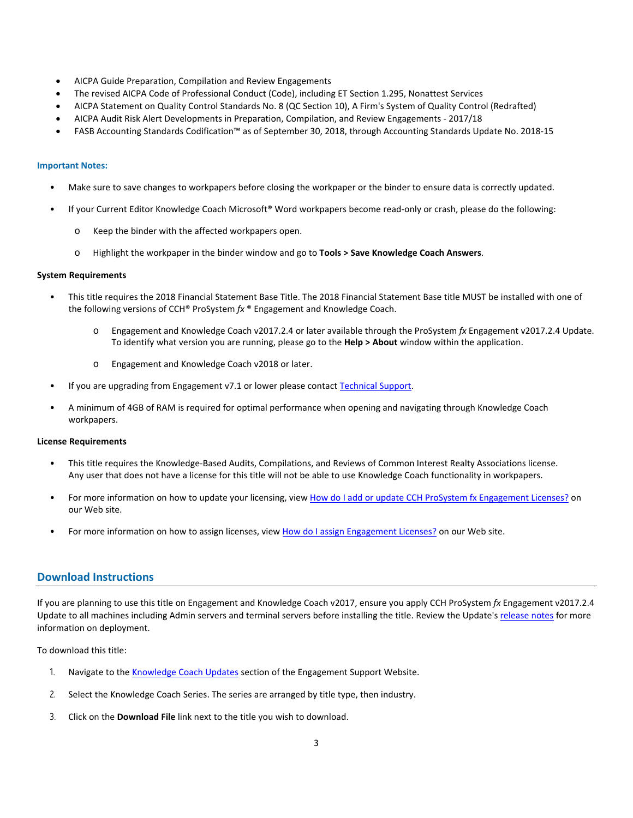- AICPA Guide Preparation, Compilation and Review Engagements
- The revised AICPA Code of Professional Conduct (Code), including ET Section 1.295, Nonattest Services
- AICPA Statement on Quality Control Standards No. 8 (QC Section 10), A Firm's System of Quality Control (Redrafted)
- AICPA Audit Risk Alert Developments in Preparation, Compilation, and Review Engagements 2017/18
- FASB Accounting Standards Codification™ as of September 30, 2018, through Accounting Standards Update No. 2018-15

#### **Important Notes:**

- Make sure to save changes to workpapers before closing the workpaper or the binder to ensure data is correctly updated.
- If your Current Editor Knowledge Coach Microsoft® Word workpapers become read-only or crash, please do the following:
	- o Keep the binder with the affected workpapers open.
	- o Highlight the workpaper in the binder window and go to **Tools > Save Knowledge Coach Answers**.

#### **System Requirements**

- This title requires the 2018 Financial Statement Base Title. The 2018 Financial Statement Base title MUST be installed with one of the following versions of CCH® ProSystem *fx* ® Engagement and Knowledge Coach.
	- o Engagement and Knowledge Coach v2017.2.4 or later available through the ProSystem *fx* Engagement v2017.2.4 Update. To identify what version you are running, please go to the **Help > About** window within the application.
	- o Engagement and Knowledge Coach v2018 or later.
- If you are upgrading from Engagement v7.1 or lower please contac[t Technical Support.](https://support.cch.com/contact)
- A minimum of 4GB of RAM is required for optimal performance when opening and navigating through Knowledge Coach workpapers.

#### **License Requirements**

- This title requires the Knowledge-Based Audits, Compilations, and Reviews of Common Interest Realty Associations license. Any user that does not have a license for this title will not be able to use Knowledge Coach functionality in workpapers.
- For more information on how to update your licensing, view [How do I add or update CCH ProSystem fx Engagement Licenses?](https://support.cch.com/kb/solution.aspx/sw3937) on our Web site.
- For more information on how to assign licenses, view How do [I assign Engagement Licenses?](https://support.cch.com/kb/solution.aspx/sw3943) on our Web site.

#### **Download Instructions**

If you are planning to use this title on Engagement and Knowledge Coach v2017, ensure you apply CCH ProSystem *fx* Engagement v2017.2.4 Update to all machines including Admin servers and terminal servers before installing the title. Review the Update's [release notes](https://d2iceilwdglxpz.cloudfront.net/release_notes/CCH%20ProSystem%20fx%20Engagement%20Release%20Notes%202017.2.4.pdf) for more information on deployment.

To download this title:

- 1. Navigate to the [Knowledge Coach Updates](http://support.cch.com/updates/KnowledgeCoach) section of the Engagement Support Website.
- 2. Select the Knowledge Coach Series. The series are arranged by title type, then industry.
- 3. Click on the **Download File** link next to the title you wish to download.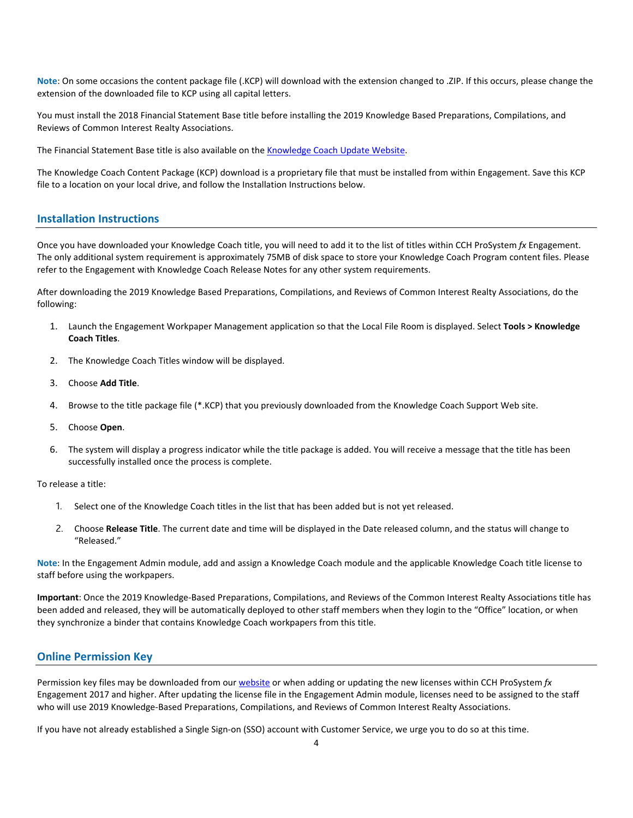**Note**: On some occasions the content package file (.KCP) will download with the extension changed to .ZIP. If this occurs, please change the extension of the downloaded file to KCP using all capital letters.

You must install the 2018 Financial Statement Base title before installing the 2019 Knowledge Based Preparations, Compilations, and Reviews of Common Interest Realty Associations.

The Financial Statement Base title is also available on th[e Knowledge Coach Update Website.](http://support.cch.com/updates/KnowledgeCoach)

The Knowledge Coach Content Package (KCP) download is a proprietary file that must be installed from within Engagement. Save this KCP file to a location on your local drive, and follow the Installation Instructions below.

#### **Installation Instructions**

Once you have downloaded your Knowledge Coach title, you will need to add it to the list of titles within CCH ProSystem *fx* Engagement. The only additional system requirement is approximately 75MB of disk space to store your Knowledge Coach Program content files. Please refer to the Engagement with Knowledge Coach Release Notes for any other system requirements.

After downloading the 2019 Knowledge Based Preparations, Compilations, and Reviews of Common Interest Realty Associations, do the following:

- 1. Launch the Engagement Workpaper Management application so that the Local File Room is displayed. Select **Tools > Knowledge Coach Titles**.
- 2. The Knowledge Coach Titles window will be displayed.
- 3. Choose **Add Title**.
- 4. Browse to the title package file (\*.KCP) that you previously downloaded from the Knowledge Coach Support Web site.
- 5. Choose **Open**.
- 6. The system will display a progress indicator while the title package is added. You will receive a message that the title has been successfully installed once the process is complete.

#### To release a title:

- 1. Select one of the Knowledge Coach titles in the list that has been added but is not yet released.
- 2. Choose **Release Title**. The current date and time will be displayed in the Date released column, and the status will change to "Released."

**Note**: In the Engagement Admin module, add and assign a Knowledge Coach module and the applicable Knowledge Coach title license to staff before using the workpapers.

**Important**: Once the 2019 Knowledge-Based Preparations, Compilations, and Reviews of the Common Interest Realty Associations title has been added and released, they will be automatically deployed to other staff members when they login to the "Office" location, or when they synchronize a binder that contains Knowledge Coach workpapers from this title.

#### **Online Permission Key**

Permission key files may be downloaded from our [website](https://prosystemfxsupport.tax.cchgroup.com/permkey/download.aspx) or when adding or updating the new licenses within CCH ProSystem *fx* Engagement 2017 and higher. After updating the license file in the Engagement Admin module, licenses need to be assigned to the staff who will use 2019 Knowledge-Based Preparations, Compilations, and Reviews of Common Interest Realty Associations.

If you have not already established a Single Sign-on (SSO) account with Customer Service, we urge you to do so at this time.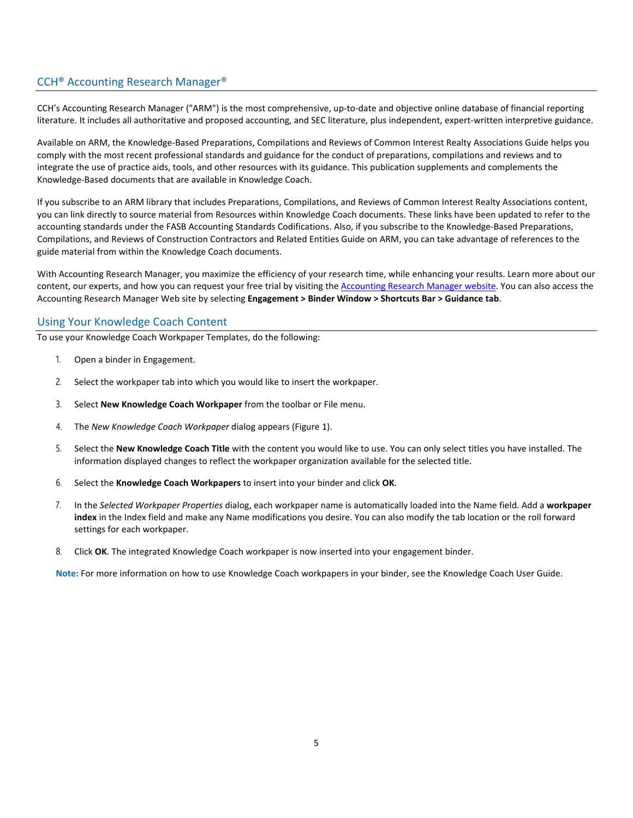## CCH® Accounting Research Manager®

CCH's Accounting Research Manager ("ARM") is the most comprehensive, up-to-date and objective online database of financial reporting literature. It includes all authoritative and proposed accounting, and SEC literature, plus independent, expert-written interpretive guidance.

Available on ARM, the Knowledge-Based Preparations, Compilations and Reviews of Common Interest Realty Associations Guide helps you comply with the most recent professional standards and guidance for the conduct of preparations, compilations and reviews and to integrate the use of practice aids, tools, and other resources with its guidance. This publication supplements and complements the Knowledge-Based documents that are available in Knowledge Coach.

If you subscribe to an ARM library that includes Preparations, Compilations, and Reviews of Common Interest Realty Associations content, you can link directly to source material from Resources within Knowledge Coach documents. These links have been updated to refer to the accounting standards under the FASB Accounting Standards Codifications. Also, if you subscribe to the Knowledge-Based Preparations, Compilations, and Reviews of Construction Contractors and Related Entities Guide on ARM, you can take advantage of references to the guide material from within the Knowledge Coach documents.

With Accounting Research Manager, you maximize the efficiency of your research time, while enhancing your results. Learn more about our content, our experts, and how you can request your free trial by visiting the [Accounting Research Manager website.](http://www.accountingresearchmanager.com/) You can also access the Accounting Research Manager Web site by selecting **Engagement > Binder Window > Shortcuts Bar > Guidance tab**.

### Using Your Knowledge Coach Content

To use your Knowledge Coach Workpaper Templates, do the following:

- 1. Open a binder in Engagement.
- 2. Select the workpaper tab into which you would like to insert the workpaper.
- 3. Select **New Knowledge Coach Workpaper** from the toolbar or File menu.
- 4. The *New Knowledge Coach Workpaper* dialog appears (Figure 1).
- 5. Select the **New Knowledge Coach Title** with the content you would like to use. You can only select titles you have installed. The information displayed changes to reflect the workpaper organization available for the selected title.
- 6. Select the **Knowledge Coach Workpapers** to insert into your binder and click **OK**.
- 7. In the *Selected Workpaper Properties* dialog, each workpaper name is automatically loaded into the Name field. Add a **workpaper index** in the Index field and make any Name modifications you desire. You can also modify the tab location or the roll forward settings for each workpaper.
- 8. Click **OK**. The integrated Knowledge Coach workpaper is now inserted into your engagement binder.

**Note:** For more information on how to use Knowledge Coach workpapers in your binder, see the Knowledge Coach User Guide.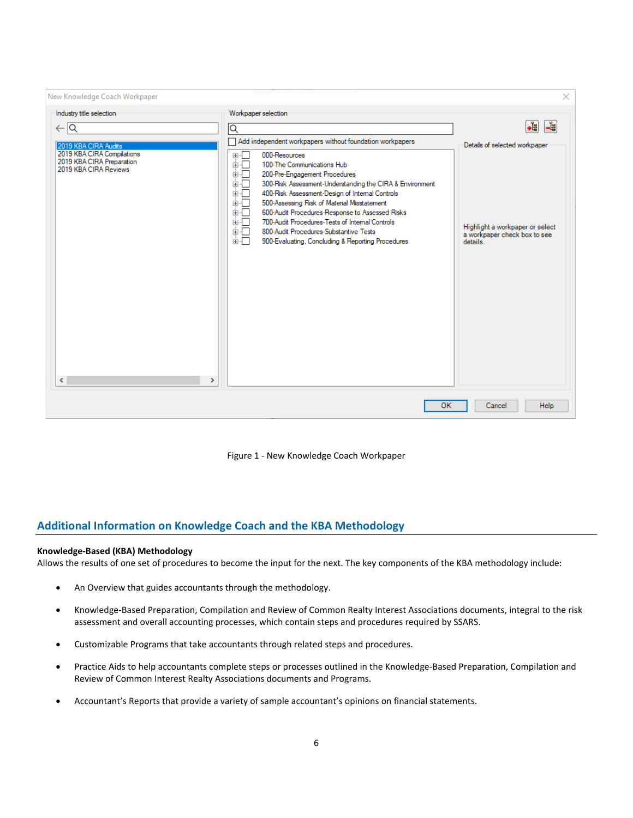| New Knowledge Coach Workpaper                                                                          |                                                                                                                                                                                                                                                                                                                                                                                                                                                                                                                | $\times$                                                                                |
|--------------------------------------------------------------------------------------------------------|----------------------------------------------------------------------------------------------------------------------------------------------------------------------------------------------------------------------------------------------------------------------------------------------------------------------------------------------------------------------------------------------------------------------------------------------------------------------------------------------------------------|-----------------------------------------------------------------------------------------|
| Industry title selection                                                                               | Workpaper selection                                                                                                                                                                                                                                                                                                                                                                                                                                                                                            |                                                                                         |
| $\leftarrow$ $\overline{Q}$                                                                            | Q                                                                                                                                                                                                                                                                                                                                                                                                                                                                                                              | .È<br>-법                                                                                |
| 2019 KBA CIRA Audits                                                                                   | Add independent workpapers without foundation workpapers                                                                                                                                                                                                                                                                                                                                                                                                                                                       | Details of selected workpaper                                                           |
| 2019 KBA CIRA Compilations<br>2019 KBA CIRA Preparation<br>2019 KBA CIRA Reviews<br>≺<br>$\rightarrow$ | 000-Resources<br>⊞…⊡<br>100-The Communications Hub<br>面板<br>200-Pre-Engagement Procedures<br>面一<br>面一<br>300-Risk Assessment-Understanding the CIRA & Environment<br>面一<br>400-Risk Assessment-Design of Internal Controls<br>面一<br>500-Assessing Risk of Material Misstatement<br>600-Audit Procedures-Response to Assessed Risks<br>面板<br>700-Audit Procedures-Tests of Internal Controls<br>ங்⊹⊓<br>面干<br>800-Audit Procedures-Substantive Tests<br>面口<br>900-Evaluating, Concluding & Reporting Procedures | Highlight a workpaper or select<br>a workpaper check box to see<br>details <sup>1</sup> |
|                                                                                                        | <b>OK</b>                                                                                                                                                                                                                                                                                                                                                                                                                                                                                                      | <b>Help</b><br>Cancel                                                                   |

Figure 1 - New Knowledge Coach Workpaper

## **Additional Information on Knowledge Coach and the KBA Methodology**

#### **Knowledge-Based (KBA) Methodology**

Allows the results of one set of procedures to become the input for the next. The key components of the KBA methodology include:

- An Overview that guides accountants through the methodology.
- Knowledge-Based Preparation, Compilation and Review of Common Realty Interest Associations documents, integral to the risk assessment and overall accounting processes, which contain steps and procedures required by SSARS.
- Customizable Programs that take accountants through related steps and procedures.
- Practice Aids to help accountants complete steps or processes outlined in the Knowledge-Based Preparation, Compilation and Review of Common Interest Realty Associations documents and Programs.
- Accountant's Reports that provide a variety of sample accountant's opinions on financial statements.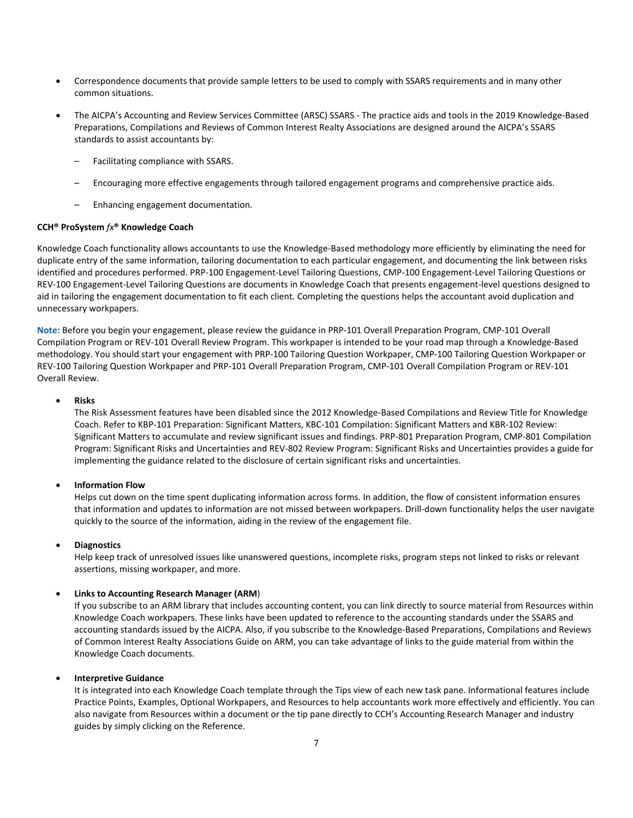- Correspondence documents that provide sample letters to be used to comply with SSARS requirements and in many other common situations.
- The AICPA's Accounting and Review Services Committee (ARSC) SSARS The practice aids and tools in the 2019 Knowledge-Based Preparations, Compilations and Reviews of Common Interest Realty Associations are designed around the AICPA's SSARS standards to assist accountants by:
	- Facilitating compliance with SSARS.
	- Encouraging more effective engagements through tailored engagement programs and comprehensive practice aids.
	- Enhancing engagement documentation.

#### **CCH® ProSystem** *fx***® Knowledge Coach**

Knowledge Coach functionality allows accountants to use the Knowledge-Based methodology more efficiently by eliminating the need for duplicate entry of the same information, tailoring documentation to each particular engagement, and documenting the link between risks identified and procedures performed. PRP-100 Engagement-Level Tailoring Questions, CMP-100 Engagement-Level Tailoring Questions or REV-100 Engagement-Level Tailoring Questions are documents in Knowledge Coach that presents engagement-level questions designed to aid in tailoring the engagement documentation to fit each client. Completing the questions helps the accountant avoid duplication and unnecessary workpapers.

**Note:** Before you begin your engagement, please review the guidance in PRP-101 Overall Preparation Program, CMP-101 Overall Compilation Program or REV-101 Overall Review Program. This workpaper is intended to be your road map through a Knowledge-Based methodology. You should start your engagement with PRP-100 Tailoring Question Workpaper, CMP-100 Tailoring Question Workpaper or REV-100 Tailoring Question Workpaper and PRP-101 Overall Preparation Program, CMP-101 Overall Compilation Program or REV-101 Overall Review.

#### • **Risks**

The Risk Assessment features have been disabled since the 2012 Knowledge-Based Compilations and Review Title for Knowledge Coach. Refer to KBP-101 Preparation: Significant Matters, KBC-101 Compilation: Significant Matters and KBR-102 Review: Significant Matters to accumulate and review significant issues and findings. PRP-801 Preparation Program, CMP-801 Compilation Program: Significant Risks and Uncertainties and REV-802 Review Program: Significant Risks and Uncertainties provides a guide for implementing the guidance related to the disclosure of certain significant risks and uncertainties.

#### • **Information Flow**

Helps cut down on the time spent duplicating information across forms. In addition, the flow of consistent information ensures that information and updates to information are not missed between workpapers. Drill-down functionality helps the user navigate quickly to the source of the information, aiding in the review of the engagement file.

#### • **Diagnostics**

Help keep track of unresolved issues like unanswered questions, incomplete risks, program steps not linked to risks or relevant assertions, missing workpaper, and more.

#### • **Links to Accounting Research Manager (ARM**)

If you subscribe to an ARM library that includes accounting content, you can link directly to source material from Resources within Knowledge Coach workpapers. These links have been updated to reference to the accounting standards under the SSARS and accounting standards issued by the AICPA. Also, if you subscribe to the Knowledge-Based Preparations, Compilations and Reviews of Common Interest Realty Associations Guide on ARM, you can take advantage of links to the guide material from within the Knowledge Coach documents.

#### • **Interpretive Guidance**

It is integrated into each Knowledge Coach template through the Tips view of each new task pane. Informational features include Practice Points, Examples, Optional Workpapers, and Resources to help accountants work more effectively and efficiently. You can also navigate from Resources within a document or the tip pane directly to CCH's Accounting Research Manager and industry guides by simply clicking on the Reference.